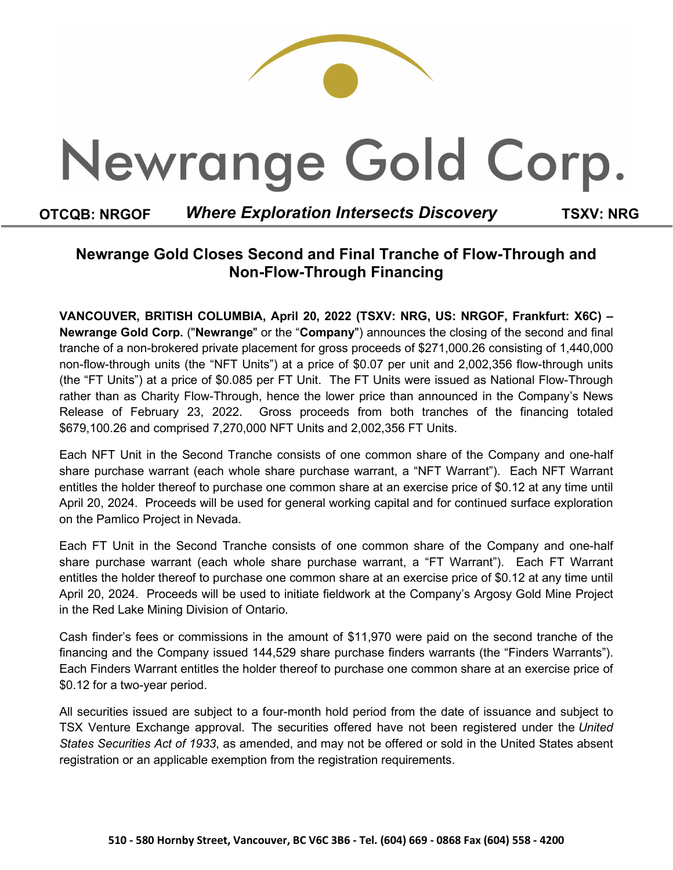# Newrange Gold Corp.

### **OTCQB: NRGOF** *Where Exploration Intersects Discovery* **TSXV: NRG**

## **Newrange Gold Closes Second and Final Tranche of Flow-Through and Non-Flow-Through Financing**

**VANCOUVER, BRITISH COLUMBIA, April 20, 2022 (TSXV: NRG, US: NRGOF, Frankfurt: X6C) – Newrange Gold Corp.** ("**Newrange**" or the "**Company**") announces the closing of the second and final tranche of a non-brokered private placement for gross proceeds of \$271,000.26 consisting of 1,440,000 non-flow-through units (the "NFT Units") at a price of \$0.07 per unit and 2,002,356 flow-through units (the "FT Units") at a price of \$0.085 per FT Unit. The FT Units were issued as National Flow-Through rather than as Charity Flow-Through, hence the lower price than announced in the Company's News Release of February 23, 2022. Gross proceeds from both tranches of the financing totaled \$679,100.26 and comprised 7,270,000 NFT Units and 2,002,356 FT Units.

Each NFT Unit in the Second Tranche consists of one common share of the Company and one-half share purchase warrant (each whole share purchase warrant, a "NFT Warrant"). Each NFT Warrant entitles the holder thereof to purchase one common share at an exercise price of \$0.12 at any time until April 20, 2024. Proceeds will be used for general working capital and for continued surface exploration on the Pamlico Project in Nevada.

Each FT Unit in the Second Tranche consists of one common share of the Company and one-half share purchase warrant (each whole share purchase warrant, a "FT Warrant"). Each FT Warrant entitles the holder thereof to purchase one common share at an exercise price of \$0.12 at any time until April 20, 2024. Proceeds will be used to initiate fieldwork at the Company's Argosy Gold Mine Project in the Red Lake Mining Division of Ontario.

Cash finder's fees or commissions in the amount of \$11,970 were paid on the second tranche of the financing and the Company issued 144,529 share purchase finders warrants (the "Finders Warrants"). Each Finders Warrant entitles the holder thereof to purchase one common share at an exercise price of \$0.12 for a two-year period.

All securities issued are subject to a four-month hold period from the date of issuance and subject to TSX Venture Exchange approval. The securities offered have not been registered under the *United States Securities Act of 1933*, as amended, and may not be offered or sold in the United States absent registration or an applicable exemption from the registration requirements.